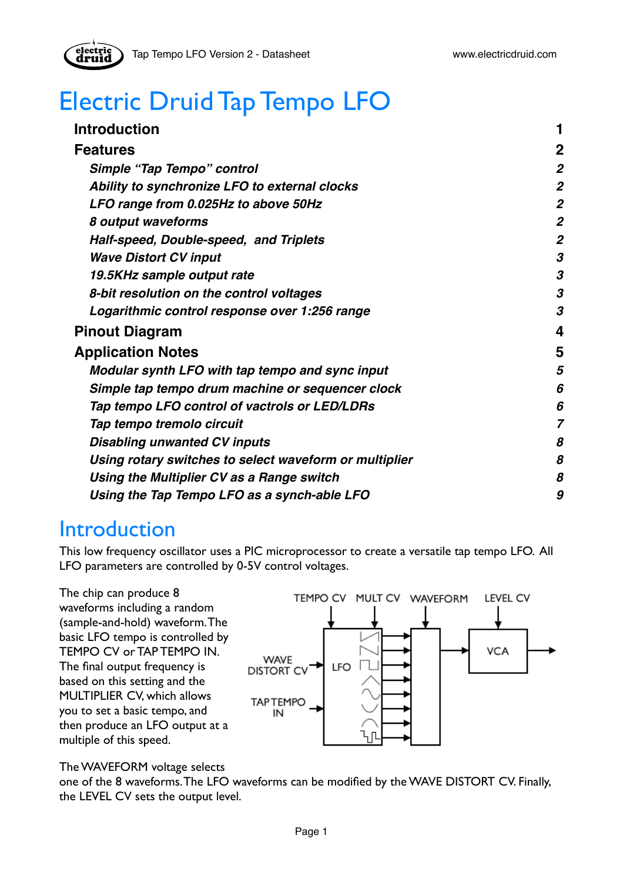# Electric Druid Tap Tempo LFO

| <b>Introduction</b>                                    |                |
|--------------------------------------------------------|----------------|
| <b>Features</b>                                        | $\overline{2}$ |
| Simple "Tap Tempo" control                             | 2              |
| Ability to synchronize LFO to external clocks          | $\overline{2}$ |
| LFO range from 0.025Hz to above 50Hz                   | $\overline{2}$ |
| 8 output waveforms                                     | 2              |
| Half-speed, Double-speed, and Triplets                 | 2              |
| <b>Wave Distort CV input</b>                           | 3              |
| 19.5KHz sample output rate                             | 3              |
| 8-bit resolution on the control voltages               | 3              |
| Logarithmic control response over 1:256 range          | 3              |
| <b>Pinout Diagram</b>                                  | 4              |
| <b>Application Notes</b>                               | 5              |
| Modular synth LFO with tap tempo and sync input        | 5              |
| Simple tap tempo drum machine or sequencer clock       | 6              |
| Tap tempo LFO control of vactrols or LED/LDRs          | 6              |
| Tap tempo tremolo circuit                              | 7              |
| <b>Disabling unwanted CV inputs</b>                    | 8              |
| Using rotary switches to select waveform or multiplier | 8              |
| Using the Multiplier CV as a Range switch              | 8              |
| Using the Tap Tempo LFO as a synch-able LFO            | 9              |

# <span id="page-0-0"></span>**Introduction**

This low frequency oscillator uses a PIC microprocessor to create a versatile tap tempo LFO. All LFO parameters are controlled by 0-5V control voltages.

The chip can produce 8 waveforms including a random (sample-and-hold) waveform. The basic LFO tempo is controlled by TEMPO CV or TAP TEMPO IN. The final output frequency is based on this setting and the MULTIPLIER CV, which allows you to set a basic tempo, and then produce an LFO output at a multiple of this speed.



The WAVEFORM voltage selects

one of the 8 waveforms. The LFO waveforms can be modified by the WAVE DISTORT CV. Finally, the LEVEL CV sets the output level.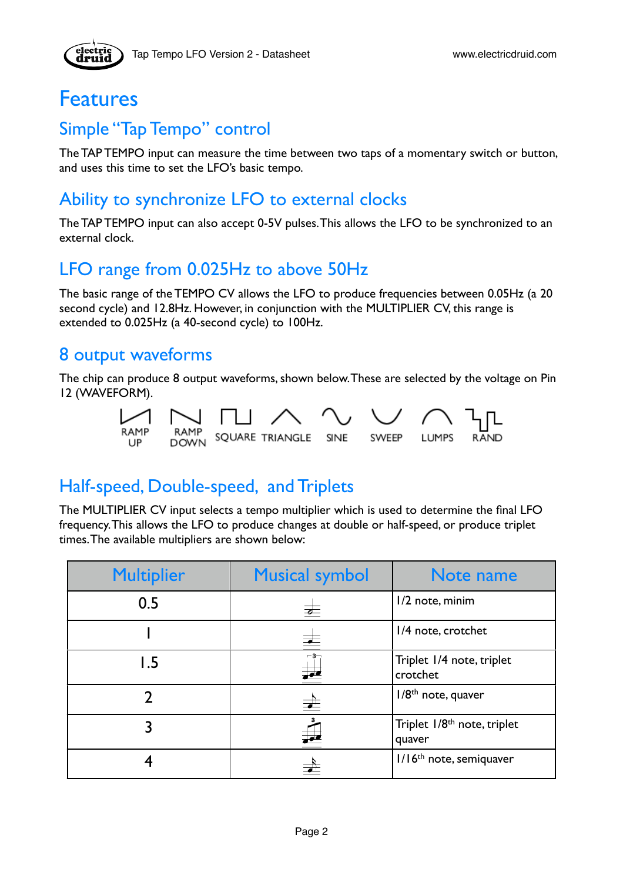

## <span id="page-1-0"></span>Features

## <span id="page-1-1"></span>Simple "Tap Tempo" control

The TAP TEMPO input can measure the time between two taps of a momentary switch or button, and uses this time to set the LFO's basic tempo.

## <span id="page-1-2"></span>Ability to synchronize LFO to external clocks

The TAP TEMPO input can also accept 0-5V pulses. This allows the LFO to be synchronized to an external clock.

## <span id="page-1-3"></span>LFO range from 0.025Hz to above 50Hz

The basic range of the TEMPO CV allows the LFO to produce frequencies between 0.05Hz (a 20 second cycle) and 12.8Hz. However, in conjunction with the MULTIPLIER CV, this range is extended to 0.025Hz (a 40-second cycle) to 100Hz.

#### <span id="page-1-4"></span>8 output waveforms

The chip can produce 8 output waveforms, shown below. These are selected by the voltage on Pin 12 (WAVEFORM).



## <span id="page-1-5"></span>Half-speed, Double-speed, and Triplets

The MULTIPLIER CV input selects a tempo multiplier which is used to determine the final LFO frequency. This allows the LFO to produce changes at double or half-speed, or produce triplet times. The available multipliers are shown below:

| <b>Multiplier</b> | <b>Musical symbol</b>    | Note name                                         |
|-------------------|--------------------------|---------------------------------------------------|
| 0.5               | $\overline{\phantom{a}}$ | I/2 note, minim                                   |
|                   | $\overline{\phantom{a}}$ | 1/4 note, crotchet                                |
| l.5               | $-3-$<br>$\frac{1}{2}$   | Triplet 1/4 note, triplet<br>crotchet             |
|                   | $\overrightarrow{=}$     | I/8 <sup>th</sup> note, quaver                    |
|                   |                          | Triplet 1/8 <sup>th</sup> note, triplet<br>quaver |
|                   |                          | I/16 <sup>th</sup> note, semiquaver               |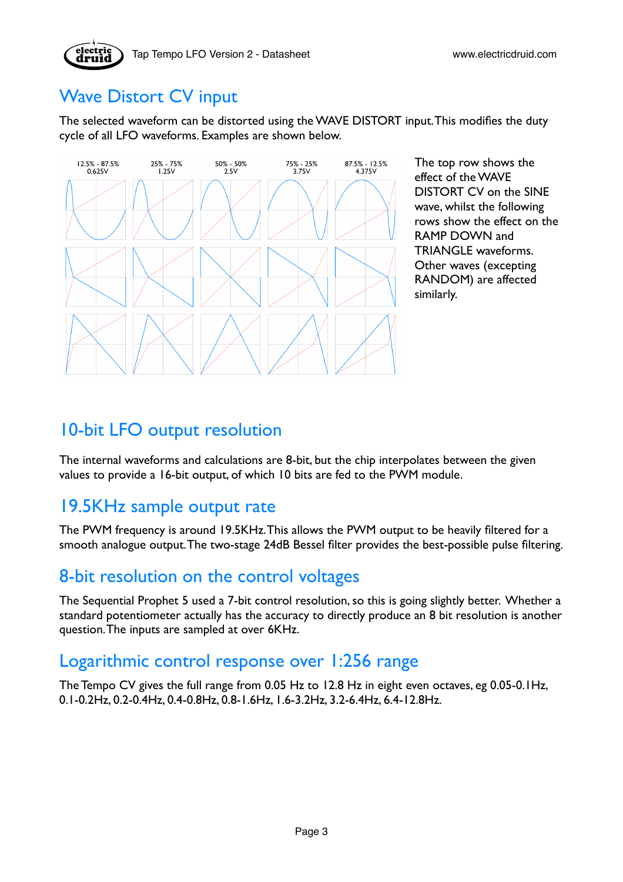# <span id="page-2-0"></span>Wave Distort CV input

The selected waveform can be distorted using the WAVE DISTORT input. This modifies the duty cycle of all LFO waveforms. Examples are shown below.



The top row shows the effect of the WAVE DISTORT CV on the SINE wave, whilst the following rows show the effect on the RAMP DOWN and TRIANGLE waveforms. Other waves (excepting RANDOM) are affected similarly.

### 10-bit LFO output resolution

The internal waveforms and calculations are 8-bit, but the chip interpolates between the given values to provide a 16-bit output, of which 10 bits are fed to the PWM module.

## <span id="page-2-1"></span>19.5KHz sample output rate

The PWM frequency is around 19.5KHz. This allows the PWM output to be heavily filtered for a smooth analogue output. The two-stage 24dB Bessel filter provides the best-possible pulse filtering.

#### <span id="page-2-2"></span>8-bit resolution on the control voltages

The Sequential Prophet 5 used a 7-bit control resolution, so this is going slightly better. Whether a standard potentiometer actually has the accuracy to directly produce an 8 bit resolution is another question. The inputs are sampled at over 6KHz.

#### <span id="page-2-3"></span>Logarithmic control response over 1:256 range

The Tempo CV gives the full range from 0.05 Hz to 12.8 Hz in eight even octaves, eg 0.05-0.1Hz, 0.1-0.2Hz, 0.2-0.4Hz, 0.4-0.8Hz, 0.8-1.6Hz, 1.6-3.2Hz, 3.2-6.4Hz, 6.4-12.8Hz.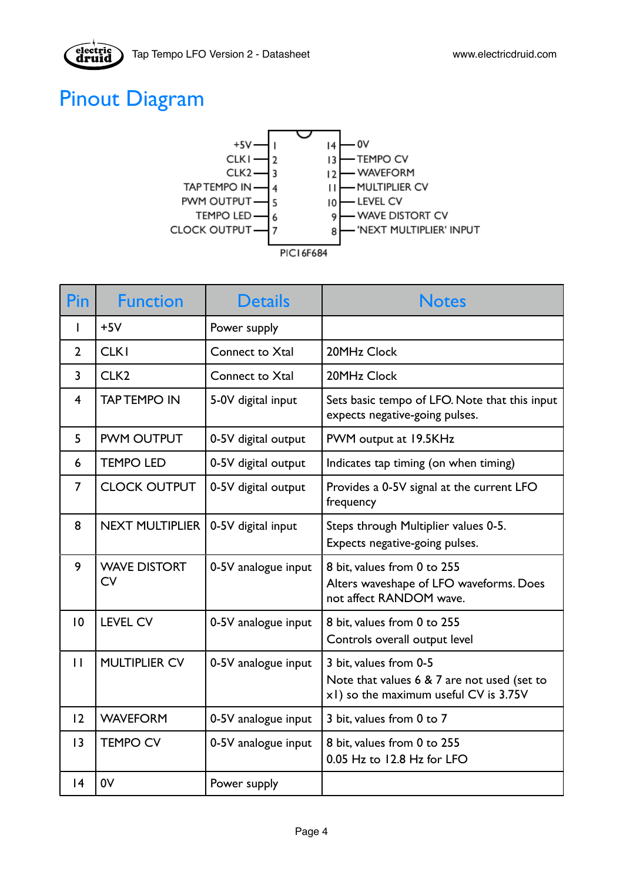

# <span id="page-3-0"></span>Pinout Diagram

electric<br>druid



| <b>Pin</b>              | <b>Function</b>                  | <b>Details</b>      | <b>Notes</b>                                                                                                   |
|-------------------------|----------------------------------|---------------------|----------------------------------------------------------------------------------------------------------------|
| I                       | $+5V$                            | Power supply        |                                                                                                                |
| $\overline{2}$          | <b>CLK1</b>                      | Connect to Xtal     | 20MHz Clock                                                                                                    |
| $\overline{3}$          | CLK <sub>2</sub>                 | Connect to Xtal     | 20MHz Clock                                                                                                    |
| $\overline{\mathbf{4}}$ | <b>TAP TEMPO IN</b>              | 5-0V digital input  | Sets basic tempo of LFO. Note that this input<br>expects negative-going pulses.                                |
| 5                       | <b>PWM OUTPUT</b>                | 0-5V digital output | PWM output at 19.5KHz                                                                                          |
| 6                       | <b>TEMPO LED</b>                 | 0-5V digital output | Indicates tap timing (on when timing)                                                                          |
| 7                       | <b>CLOCK OUTPUT</b>              | 0-5V digital output | Provides a 0-5V signal at the current LFO<br>frequency                                                         |
| 8                       | NEXT MULTIPLIER                  | 0-5V digital input  | Steps through Multiplier values 0-5.<br>Expects negative-going pulses.                                         |
| 9                       | <b>WAVE DISTORT</b><br><b>CV</b> | 0-5V analogue input | 8 bit, values from 0 to 255<br>Alters waveshape of LFO waveforms. Does<br>not affect RANDOM wave.              |
| 10                      | <b>LEVEL CV</b>                  | 0-5V analogue input | 8 bit, values from 0 to 255<br>Controls overall output level                                                   |
| $\mathbf{H}$            | <b>MULTIPLIER CV</b>             | 0-5V analogue input | 3 bit, values from 0-5<br>Note that values 6 & 7 are not used (set to<br>x1) so the maximum useful CV is 3.75V |
| 12                      | <b>WAVEFORM</b>                  | 0-5V analogue input | 3 bit, values from 0 to 7                                                                                      |
| 3                       | <b>TEMPO CV</b>                  | 0-5V analogue input | 8 bit, values from 0 to 255<br>0.05 Hz to 12.8 Hz for LFO                                                      |
| 4                       | 0V                               | Power supply        |                                                                                                                |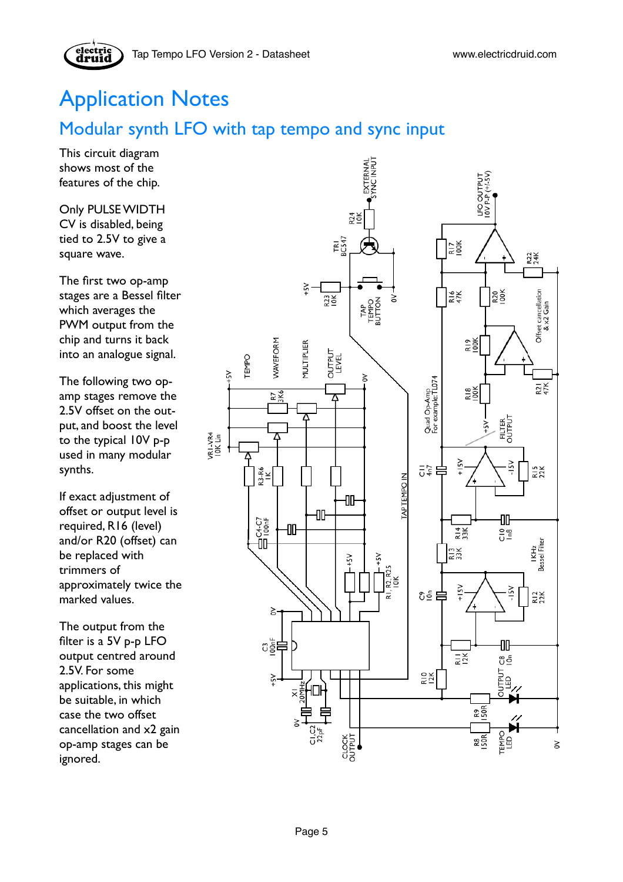# <span id="page-4-0"></span>Application Notes

# <span id="page-4-1"></span>Modular synth LFO with tap tempo and sync input

This circuit diagram shows most of the features of the chip.

Only PULSE WIDTH CV is disabled, being tied to 2.5V to give a square wave.

The first two op-amp stages are a Bessel filter which averages the PWM output from the chip and turns it back into an analogue signal.

The following two opamp stages remove the 2.5V offset on the output, and boost the level to the typical 10V p-p used in many modular synths.

If exact adjustment of offset or output level is required, R16 (level) and/or R20 (offset) can be replaced with trimmers of approximately twice the marked values.

The output from the filter is a 5V p-p LFO output centred around 2.5V. For some applications, this might be suitable, in which case the two offset cancellation and x2 gain op-amp stages can be ignored.

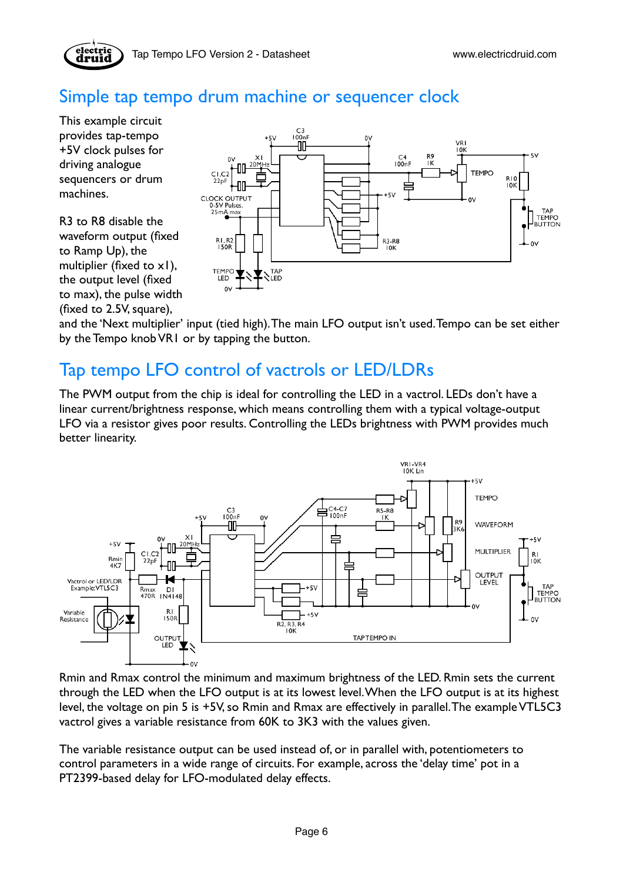

## <span id="page-5-0"></span>Simple tap tempo drum machine or sequencer clock

This example circuit provides tap-tempo +5V clock pulses for driving analogue sequencers or drum machines.

R3 to R8 disable the waveform output (fixed to Ramp Up), the multiplier (fixed to x1), the output level (fixed to max), the pulse width (fixed to 2.5V, square),



and the 'Next multiplier' input (tied high). The main LFO output isn't used. Tempo can be set either by the Tempo knob VR1 or by tapping the button.

## <span id="page-5-1"></span>Tap tempo LFO control of vactrols or LED/LDRs

The PWM output from the chip is ideal for controlling the LED in a vactrol. LEDs don't have a linear current/brightness response, which means controlling them with a typical voltage-output LFO via a resistor gives poor results. Controlling the LEDs brightness with PWM provides much better linearity.



Rmin and Rmax control the minimum and maximum brightness of the LED. Rmin sets the current through the LED when the LFO output is at its lowest level. When the LFO output is at its highest level, the voltage on pin 5 is +5V, so Rmin and Rmax are effectively in parallel. The example VTL5C3 vactrol gives a variable resistance from 60K to 3K3 with the values given.

The variable resistance output can be used instead of, or in parallel with, potentiometers to control parameters in a wide range of circuits. For example, across the 'delay time' pot in a PT2399-based delay for LFO-modulated delay effects.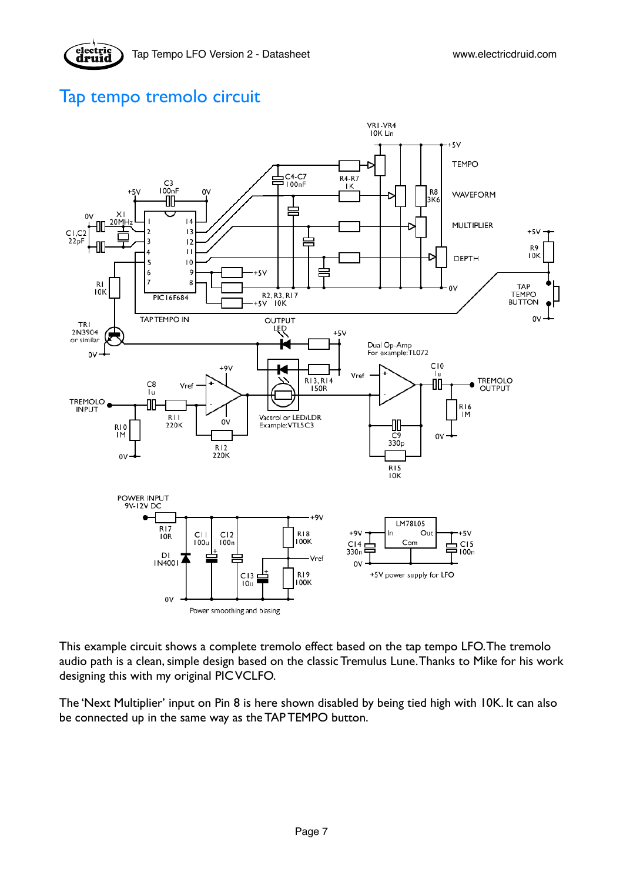### <span id="page-6-0"></span>Tap tempo tremolo circuit



This example circuit shows a complete tremolo effect based on the tap tempo LFO. The tremolo audio path is a clean, simple design based on the classic Tremulus Lune. Thanks to Mike for his work designing this with my original PIC VCLFO.

The 'Next Multiplier' input on Pin 8 is here shown disabled by being tied high with 10K. It can also be connected up in the same way as the TAP TEMPO button.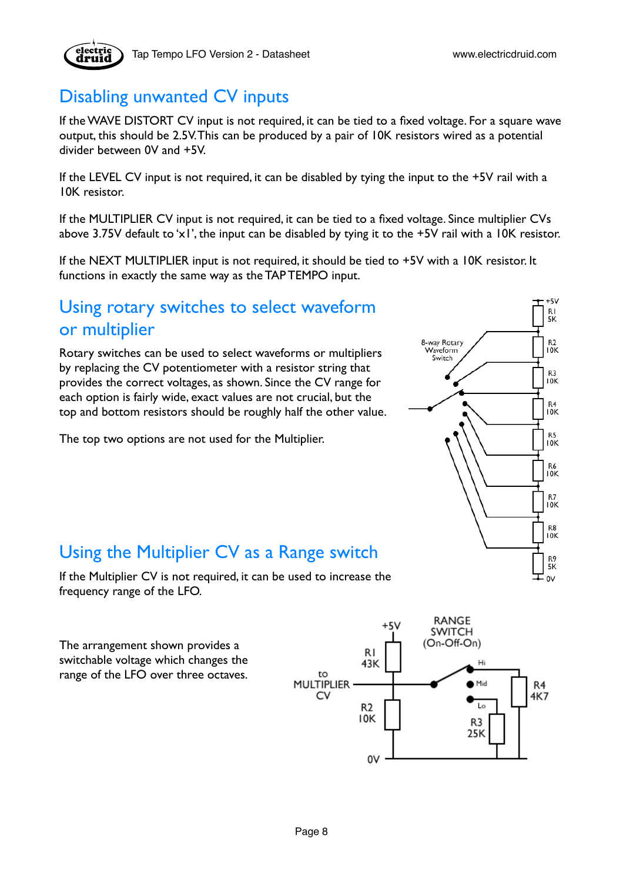

## <span id="page-7-0"></span>Disabling unwanted CV inputs

If the WAVE DISTORT CV input is not required, it can be tied to a fixed voltage. For a square wave output, this should be 2.5V. This can be produced by a pair of 10K resistors wired as a potential divider between 0V and +5V.

If the LEVEL CV input is not required, it can be disabled by tying the input to the +5V rail with a 10K resistor.

If the MULTIPLIER CV input is not required, it can be tied to a fixed voltage. Since multiplier CVs above 3.75V default to 'x1', the input can be disabled by tying it to the +5V rail with a 10K resistor.

If the NEXT MULTIPLIER input is not required, it should be tied to +5V with a 10K resistor. It functions in exactly the same way as the TAP TEMPO input.

## <span id="page-7-1"></span>Using rotary switches to select waveform or multiplier

Rotary switches can be used to select waveforms or multipliers by replacing the CV potentiometer with a resistor string that provides the correct voltages, as shown. Since the CV range for each option is fairly wide, exact values are not crucial, but the top and bottom resistors should be roughly half the other value.

The top two options are not used for the Multiplier.



## <span id="page-7-2"></span>Using the Multiplier CV as a Range switch

If the Multiplier CV is not required, it can be used to increase the frequency range of the LFO.

The arrangement shown provides a switchable voltage which changes the range of the LFO over three octaves.